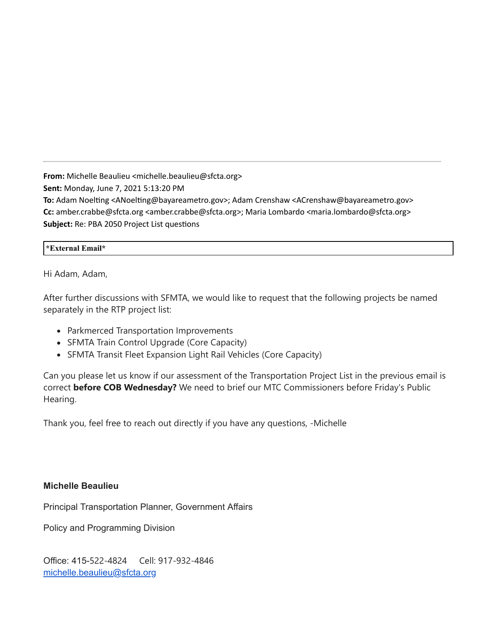**From:** Michelle Beaulieu <michelle.beaulieu@sfcta.org> **Sent:** Monday, June 7, 2021 5:13:20 PM **To:** Adam Noelting <ANoelting@bayareametro.gov>; Adam Crenshaw <ACrenshaw@bayareametro.gov> **Cc:** amber.crabbe@sfcta.org <amber.crabbe@sfcta.org>; Maria Lombardo <maria.lombardo@sfcta.org> **Subject:** Re: PBA 2050 Project List questions

### **\*External Email\***

Hi Adam, Adam,

After further discussions with SFMTA, we would like to request that the following projects be named separately in the RTP project list:

- Parkmerced Transportation Improvements
- SFMTA Train Control Upgrade (Core Capacity)
- SFMTA Transit Fleet Expansion Light Rail Vehicles (Core Capacity)

Can you please let us know if our assessment of the Transportation Project List in the previous email is correct **before COB Wednesday?** We need to brief our MTC Commissioners before Friday's Public Hearing.

Thank you, feel free to reach out directly if you have any questions, -Michelle

## **Michelle Beaulieu**

Principal Transportation Planner, Government Affairs

Policy and Programming Division

Office: 415-522-4824 Cell: 917-932-4846 [michelle.beaulieu@sfcta.org](mailto:michelle.beaulieu@sfcta.org)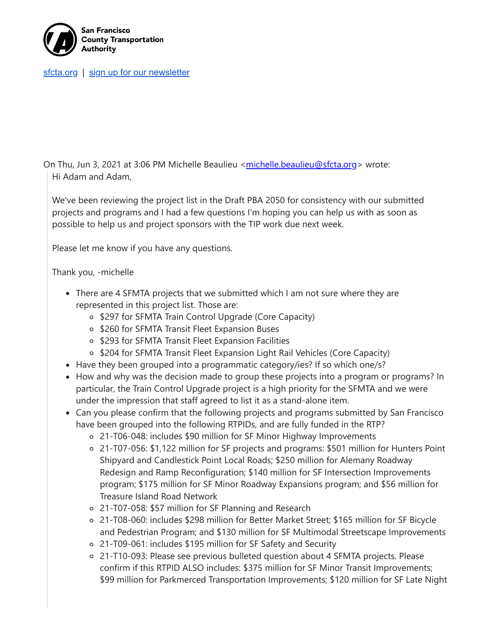

[sfcta.org](https://nam10.safelinks.protection.outlook.com/?url=https%3A%2F%2Fwww.sfcta.org%2F&data=04%7C01%7Cplanbayareainfo%40bayareametro.gov%7Cd993ed1aa1a6439aad9a08d92a140f30%7Cb084c4a0bb194142b70382ea65a5eeb2%7C0%7C0%7C637587087919289909%7CUnknown%7CTWFpbGZsb3d8eyJWIjoiMC4wLjAwMDAiLCJQIjoiV2luMzIiLCJBTiI6Ik1haWwiLCJXVCI6Mn0%3D%7C1000&sdata=U7A7QuSAnnMMztl50%2F2ctZx5TQz%2F94KUJIrATFhxrko%3D&reserved=0) | [sign up for our newsletter](https://nam10.safelinks.protection.outlook.com/?url=https%3A%2F%2Fwww.sfcta.org%2Fstay-connected&data=04%7C01%7Cplanbayareainfo%40bayareametro.gov%7Cd993ed1aa1a6439aad9a08d92a140f30%7Cb084c4a0bb194142b70382ea65a5eeb2%7C0%7C0%7C637587087919299873%7CUnknown%7CTWFpbGZsb3d8eyJWIjoiMC4wLjAwMDAiLCJQIjoiV2luMzIiLCJBTiI6Ik1haWwiLCJXVCI6Mn0%3D%7C1000&sdata=POhbxuTmMLhGue5WrMGnG775IzTutqlGMAVAs5Vul4s%3D&reserved=0)

On Thu, Jun 3, 2021 at 3:06 PM Michelle Beaulieu <[michelle.beaulieu@sfcta.org>](mailto:michelle.beaulieu@sfcta.org) wrote: Hi Adam and Adam,

We've been reviewing the project list in the Draft PBA 2050 for consistency with our submitted projects and programs and I had a few questions I'm hoping you can help us with as soon as possible to help us and project sponsors with the TIP work due next week.

Please let me know if you have any questions.

## Thank you, -michelle

- There are 4 SFMTA projects that we submitted which I am not sure where they are represented in this project list. Those are:
	- o \$297 for SFMTA Train Control Upgrade (Core Capacity)
	- o \$260 for SFMTA Transit Fleet Expansion Buses
	- o \$293 for SFMTA Transit Fleet Expansion Facilities
	- $\circ$  \$204 for SFMTA Transit Fleet Expansion Light Rail Vehicles (Core Capacity)
- Have they been grouped into a programmatic category/ies? If so which one/s?
- How and why was the decision made to group these projects into a program or programs? In particular, the Train Control Upgrade project is a high priority for the SFMTA and we were under the impression that staff agreed to list it as a stand-alone item.
- Can you please confirm that the following projects and programs submitted by San Francisco have been grouped into the following RTPIDs, and are fully funded in the RTP?
	- 21-T06-048: includes \$90 million for SF Minor Highway Improvements
	- 21-T07-056: \$1,122 million for SF projects and programs: \$501 million for Hunters Point Shipyard and Candlestick Point Local Roads; \$250 million for Alemany Roadway Redesign and Ramp Reconfiguration; \$140 million for SF Intersection Improvements program; \$175 million for SF Minor Roadway Expansions program; and \$56 million for Treasure Island Road Network
	- 21-T07-058: \$57 million for SF Planning and Research
	- 21-T08-060: includes \$298 million for Better Market Street; \$165 million for SF Bicycle and Pedestrian Program; and \$130 million for SF Multimodal Streetscape Improvements
	- 21-T09-061: includes \$195 million for SF Safety and Security
	- 21-T10-093: Please see previous bulleted question about 4 SFMTA projects. Please confirm if this RTPID ALSO includes: \$375 million for SF Minor Transit Improvements; \$99 million for Parkmerced Transportation Improvements; \$120 million for SF Late Night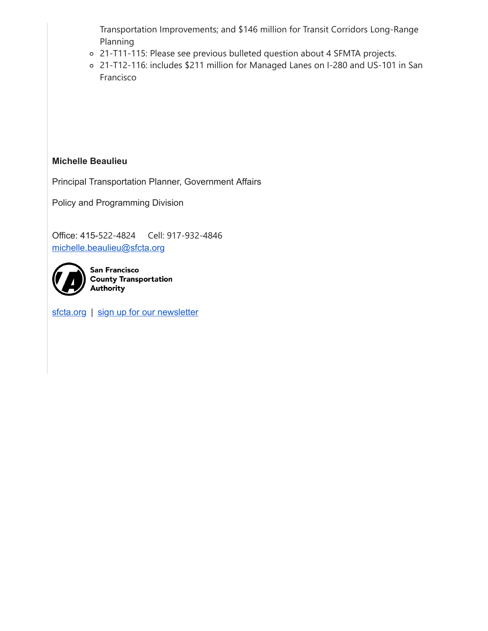Transportation Improvements; and \$146 million for Transit Corridors Long-Range Planning

- 21-T11-115: Please see previous bulleted question about 4 SFMTA projects.
- 21-T12-116: includes \$211 million for Managed Lanes on I-280 and US-101 in San Francisco

# **Michelle Beaulieu**

Principal Transportation Planner, Government Affairs

Policy and Programming Division

Office: 415-522-4824 Cell: 917-932-4846 [michelle.beaulieu@sfcta.org](mailto:michelle.beaulieu@sfcta.org)



**San Francisco County Transportation** Authority

[sfcta.org](https://nam10.safelinks.protection.outlook.com/?url=https%3A%2F%2Fwww.sfcta.org%2F&data=04%7C01%7Cplanbayareainfo%40bayareametro.gov%7Cd993ed1aa1a6439aad9a08d92a140f30%7Cb084c4a0bb194142b70382ea65a5eeb2%7C0%7C0%7C637587087919409386%7CUnknown%7CTWFpbGZsb3d8eyJWIjoiMC4wLjAwMDAiLCJQIjoiV2luMzIiLCJBTiI6Ik1haWwiLCJXVCI6Mn0%3D%7C1000&sdata=pXTXdchH91lkfyD3Lxkn5E46OHv6A5YmSw%2BrT%2F6tayQ%3D&reserved=0) | [sign up for our newsletter](https://nam10.safelinks.protection.outlook.com/?url=https%3A%2F%2Fwww.sfcta.org%2Fstay-connected&data=04%7C01%7Cplanbayareainfo%40bayareametro.gov%7Cd993ed1aa1a6439aad9a08d92a140f30%7Cb084c4a0bb194142b70382ea65a5eeb2%7C0%7C0%7C637587087919419341%7CUnknown%7CTWFpbGZsb3d8eyJWIjoiMC4wLjAwMDAiLCJQIjoiV2luMzIiLCJBTiI6Ik1haWwiLCJXVCI6Mn0%3D%7C1000&sdata=F78QjaAedtBDIkpR0KQrrbwSU0n0wVCeSJsQUw1GBjw%3D&reserved=0)